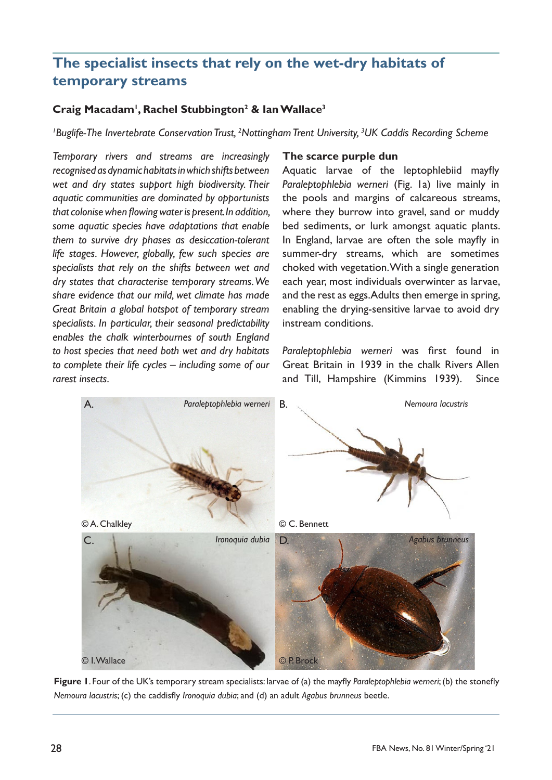## **The specialist insects that rely on the wet-dry habitats of temporary streams**

## **Craig Macadam<sup>1</sup> , Rachel Stubbington2 & Ian Wallace<sup>3</sup>**

*1 Buglife-The Invertebrate Conservation Trust, <sup>2</sup> Nottingham Trent University, <sup>3</sup> UK Caddis Recording Scheme*

*Temporary rivers and streams are increasingly recognised as dynamic habitats in which shifts between wet and dry states support high biodiversity. Their aquatic communities are dominated by opportunists that colonise when flowing water is present. In addition, some aquatic species have adaptations that enable them to survive dry phases as desiccation-tolerant life stages. However, globally, few such species are specialists that rely on the shifts between wet and dry states that characterise temporary streams. We share evidence that our mild, wet climate has made Great Britain a global hotspot of temporary stream specialists. In particular, their seasonal predictability enables the chalk winterbournes of south England to host species that need both wet and dry habitats to complete their life cycles – including some of our rarest insects.*

#### **The scarce purple dun**

Aquatic larvae of the leptophlebiid mayfly *Paraleptophlebia werneri* (Fig. 1a) live mainly in the pools and margins of calcareous streams, where they burrow into gravel, sand or muddy bed sediments, or lurk amongst aquatic plants. In England, larvae are often the sole mayfly in summer-dry streams, which are sometimes choked with vegetation. With a single generation each year, most individuals overwinter as larvae, and the rest as eggs. Adults then emerge in spring, enabling the drying-sensitive larvae to avoid dry instream conditions.

*Paraleptophlebia werneri* was first found in Great Britain in 1939 in the chalk Rivers Allen and Till, Hampshire (Kimmins 1939). Since



**Figure 1**. Four of the UK's temporary stream specialists: larvae of (a) the mayfly *Paraleptophlebia werneri*; (b) the stonefly *Nemoura lacustris*; (c) the caddisfly *Ironoquia dubia*; and (d) an adult *Agabus brunneus* beetle.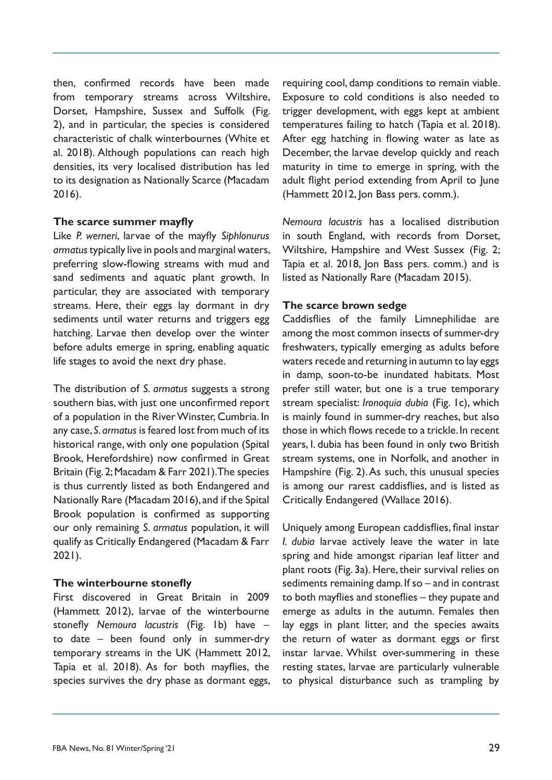then, confirmed records have been made from temporary streams across Wiltshire, Dorset, Hampshire, Sussex and Suffolk (Fig. 2), and in particular, the species is considered characteristic of chalk winterbournes (White et al. 2018). Although populations can reach high densities, its very localised distribution has led to its designation as Nationally Scarce (Macadam 2016).

#### **The scarce summer mayfly**

Like *P. werneri*, larvae of the mayfly *Siphlonurus armatus* typically live in pools and marginal waters, preferring slow-flowing streams with mud and sand sediments and aquatic plant growth. In particular, they are associated with temporary streams. Here, their eggs lay dormant in dry sediments until water returns and triggers egg hatching. Larvae then develop over the winter before adults emerge in spring, enabling aquatic life stages to avoid the next dry phase.

The distribution of *S. armatus* suggests a strong southern bias, with just one unconfirmed report of a population in the River Winster, Cumbria. In any case, *S. armatus* is feared lost from much of its historical range, with only one population (Spital Brook, Herefordshire) now confirmed in Great Britain (Fig. 2; Macadam & Farr 2021). The species is thus currently listed as both Endangered and Nationally Rare (Macadam 2016), and if the Spital Brook population is confirmed as supporting our only remaining *S. armatus* population, it will qualify as Critically Endangered (Macadam & Farr 2021).

## **The winterbourne stonefly**

First discovered in Great Britain in 2009 (Hammett 2012), larvae of the winterbourne stonefly *Nemoura lacustris* (Fig. 1b) have – to date – been found only in summer-dry temporary streams in the UK (Hammett 2012, Tapia et al. 2018). As for both mayflies, the species survives the dry phase as dormant eggs,

requiring cool, damp conditions to remain viable. Exposure to cold conditions is also needed to trigger development, with eggs kept at ambient temperatures failing to hatch (Tapia et al. 2018). After egg hatching in flowing water as late as December, the larvae develop quickly and reach maturity in time to emerge in spring, with the adult flight period extending from April to June (Hammett 2012, Jon Bass pers. comm.).

*Nemoura lacustris* has a localised distribution in south England, with records from Dorset, Wiltshire, Hampshire and West Sussex (Fig. 2; Tapia et al. 2018, Jon Bass pers. comm.) and is listed as Nationally Rare (Macadam 2015).

## **The scarce brown sedge**

Caddisflies of the family Limnephilidae are among the most common insects of summer-dry freshwaters, typically emerging as adults before waters recede and returning in autumn to lay eggs in damp, soon-to-be inundated habitats. Most prefer still water, but one is a true temporary stream specialist: *Ironoquia dubia* (Fig. 1c), which is mainly found in summer-dry reaches, but also those in which flows recede to a trickle. In recent years, I. dubia has been found in only two British stream systems, one in Norfolk, and another in Hampshire (Fig. 2). As such, this unusual species is among our rarest caddisflies, and is listed as Critically Endangered (Wallace 2016).

Uniquely among European caddisflies, final instar *I. dubia* larvae actively leave the water in late spring and hide amongst riparian leaf litter and plant roots (Fig. 3a). Here, their survival relies on sediments remaining damp. If so – and in contrast to both mayflies and stoneflies – they pupate and emerge as adults in the autumn. Females then lay eggs in plant litter, and the species awaits the return of water as dormant eggs or first instar larvae. Whilst over-summering in these resting states, larvae are particularly vulnerable to physical disturbance such as trampling by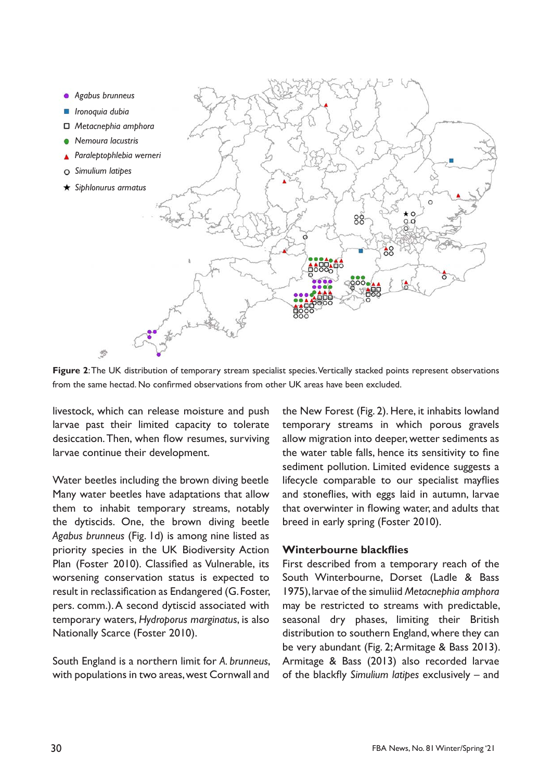

**Figure 2**: The UK distribution of temporary stream specialist species. Vertically stacked points represent observations from the same hectad. No confirmed observations from other UK areas have been excluded.

livestock, which can release moisture and push larvae past their limited capacity to tolerate desiccation. Then, when flow resumes, surviving larvae continue their development.

Water beetles including the brown diving beetle Many water beetles have adaptations that allow them to inhabit temporary streams, notably the dytiscids. One, the brown diving beetle *Agabus brunneus* (Fig. 1d) is among nine listed as priority species in the UK Biodiversity Action Plan (Foster 2010). Classified as Vulnerable, its worsening conservation status is expected to result in reclassification as Endangered (G. Foster, pers. comm.). A second dytiscid associated with temporary waters, *Hydroporus marginatus*, is also Nationally Scarce (Foster 2010).

South England is a northern limit for *A. brunneus*, with populations in two areas, west Cornwall and

the New Forest (Fig. 2). Here, it inhabits lowland temporary streams in which porous gravels allow migration into deeper, wetter sediments as the water table falls, hence its sensitivity to fine sediment pollution. Limited evidence suggests a lifecycle comparable to our specialist mayflies and stoneflies, with eggs laid in autumn, larvae that overwinter in flowing water, and adults that breed in early spring (Foster 2010).

#### **Winterbourne blackflies**

First described from a temporary reach of the South Winterbourne, Dorset (Ladle & Bass 1975), larvae of the simuliid *Metacnephia amphora*  may be restricted to streams with predictable, seasonal dry phases, limiting their British distribution to southern England, where they can be very abundant (Fig. 2; Armitage & Bass 2013). Armitage & Bass (2013) also recorded larvae of the blackfly *Simulium latipes* exclusively – and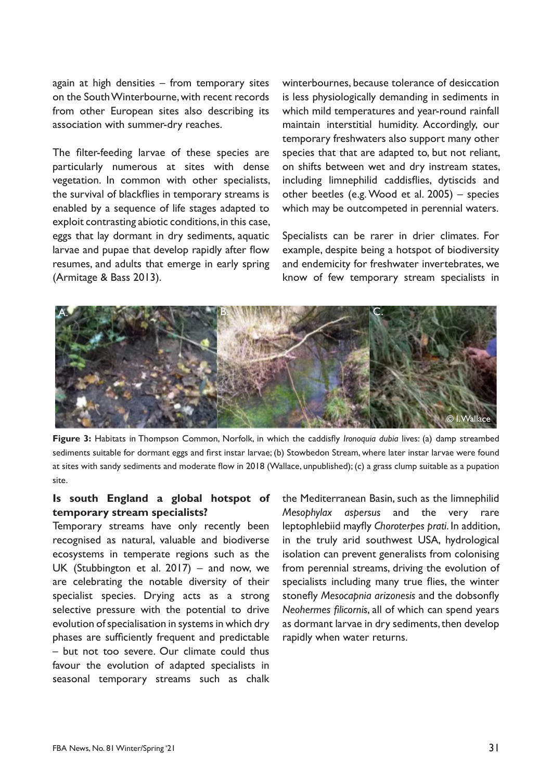again at high densities – from temporary sites on the South Winterbourne, with recent records from other European sites also describing its association with summer-dry reaches.

The filter-feeding larvae of these species are particularly numerous at sites with dense vegetation. In common with other specialists, the survival of blackflies in temporary streams is enabled by a sequence of life stages adapted to exploit contrasting abiotic conditions, in this case, eggs that lay dormant in dry sediments, aquatic larvae and pupae that develop rapidly after flow resumes, and adults that emerge in early spring (Armitage & Bass 2013).

winterbournes, because tolerance of desiccation is less physiologically demanding in sediments in which mild temperatures and year-round rainfall maintain interstitial humidity. Accordingly, our temporary freshwaters also support many other species that that are adapted to, but not reliant, on shifts between wet and dry instream states, including limnephilid caddisflies, dytiscids and other beetles (e.g. Wood et al. 2005) – species which may be outcompeted in perennial waters.

Specialists can be rarer in drier climates. For example, despite being a hotspot of biodiversity and endemicity for freshwater invertebrates, we know of few temporary stream specialists in



**Figure 3:** Habitats in Thompson Common, Norfolk, in which the caddisfly *Ironoquia dubia* lives: (a) damp streambed sediments suitable for dormant eggs and first instar larvae; (b) Stowbedon Stream, where later instar larvae were found at sites with sandy sediments and moderate flow in 2018 (Wallace, unpublished); (c) a grass clump suitable as a pupation site.

#### **Is south England a global hotspot of temporary stream specialists?**

Temporary streams have only recently been recognised as natural, valuable and biodiverse ecosystems in temperate regions such as the UK (Stubbington et al. 2017) – and now, we are celebrating the notable diversity of their specialist species. Drying acts as a strong selective pressure with the potential to drive evolution of specialisation in systems in which dry phases are sufficiently frequent and predictable – but not too severe. Our climate could thus favour the evolution of adapted specialists in seasonal temporary streams such as chalk

the Mediterranean Basin, such as the limnephilid *Mesophylax aspersus* and the very rare leptophlebiid mayfly *Choroterpes prati*. In addition, in the truly arid southwest USA, hydrological isolation can prevent generalists from colonising from perennial streams, driving the evolution of specialists including many true flies, the winter stonefly *Mesocapnia arizonesis* and the dobsonfly *Neohermes filicornis*, all of which can spend years as dormant larvae in dry sediments, then develop rapidly when water returns.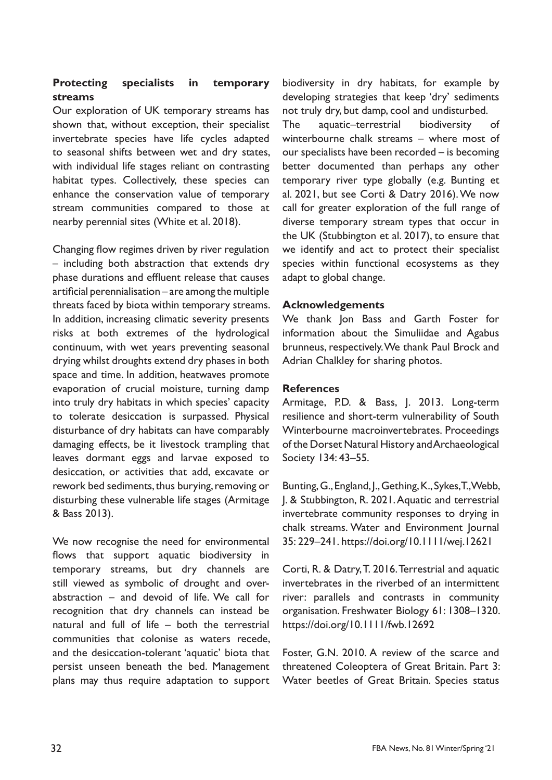## **Protecting specialists in temporary streams**

Our exploration of UK temporary streams has shown that, without exception, their specialist invertebrate species have life cycles adapted to seasonal shifts between wet and dry states, with individual life stages reliant on contrasting habitat types. Collectively, these species can enhance the conservation value of temporary stream communities compared to those at nearby perennial sites (White et al. 2018).

Changing flow regimes driven by river regulation – including both abstraction that extends dry phase durations and effluent release that causes artificial perennialisation – are among the multiple threats faced by biota within temporary streams. In addition, increasing climatic severity presents risks at both extremes of the hydrological continuum, with wet years preventing seasonal drying whilst droughts extend dry phases in both space and time. In addition, heatwaves promote evaporation of crucial moisture, turning damp into truly dry habitats in which species' capacity to tolerate desiccation is surpassed. Physical disturbance of dry habitats can have comparably damaging effects, be it livestock trampling that leaves dormant eggs and larvae exposed to desiccation, or activities that add, excavate or rework bed sediments, thus burying, removing or disturbing these vulnerable life stages (Armitage & Bass 2013).

We now recognise the need for environmental flows that support aquatic biodiversity in temporary streams, but dry channels are still viewed as symbolic of drought and overabstraction – and devoid of life. We call for recognition that dry channels can instead be natural and full of life – both the terrestrial communities that colonise as waters recede, and the desiccation-tolerant 'aquatic' biota that persist unseen beneath the bed. Management plans may thus require adaptation to support

biodiversity in dry habitats, for example by developing strategies that keep 'dry' sediments not truly dry, but damp, cool and undisturbed. The aquatic–terrestrial biodiversity of winterbourne chalk streams – where most of our specialists have been recorded – is becoming better documented than perhaps any other temporary river type globally (e.g. Bunting et al. 2021, but see Corti & Datry 2016). We now call for greater exploration of the full range of diverse temporary stream types that occur in the UK (Stubbington et al. 2017), to ensure that we identify and act to protect their specialist species within functional ecosystems as they adapt to global change.

#### **Acknowledgements**

We thank Jon Bass and Garth Foster for information about the Simuliidae and Agabus brunneus, respectively. We thank Paul Brock and Adrian Chalkley for sharing photos.

#### **References**

Armitage, P.D. & Bass, J. 2013. Long-term resilience and short-term vulnerability of South Winterbourne macroinvertebrates. Proceedings of the Dorset Natural History and Archaeological Society 134: 43–55.

Bunting, G., England, J., Gething, K., Sykes, T., Webb, J. & Stubbington, R. 2021. Aquatic and terrestrial invertebrate community responses to drying in chalk streams. Water and Environment Journal 35: 229–241. https://doi.org/10.1111/wej.12621

Corti, R. & Datry, T. 2016. Terrestrial and aquatic invertebrates in the riverbed of an intermittent river: parallels and contrasts in community organisation. Freshwater Biology 61: 1308–1320. https://doi.org/10.1111/fwb.12692

Foster, G.N. 2010. A review of the scarce and threatened Coleoptera of Great Britain. Part 3: Water beetles of Great Britain. Species status